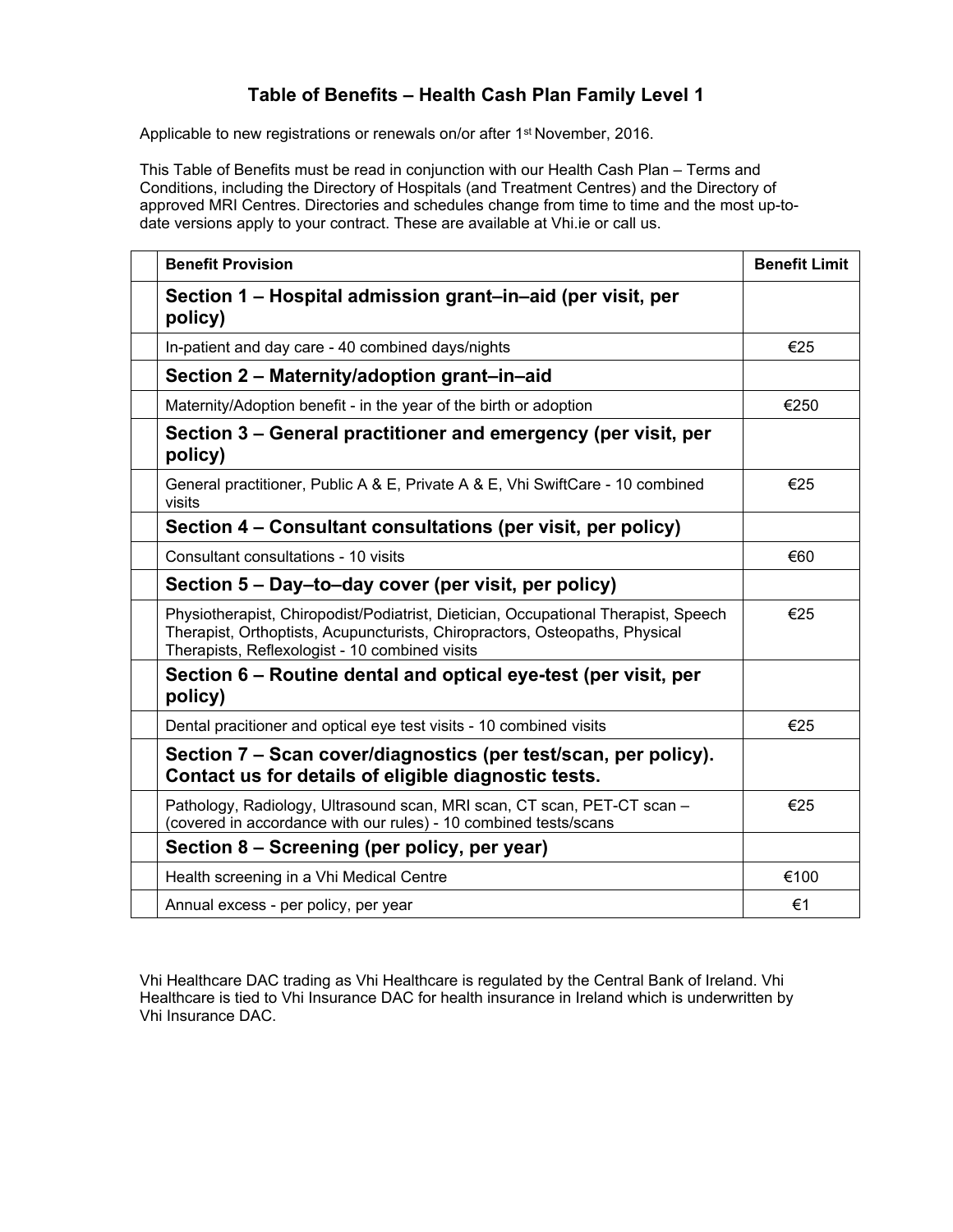## **Table of Benefits – Health Cash Plan Family Level 1**

Applicable to new registrations or renewals on/or after 1<sup>st</sup> November, 2016.

This Table of Benefits must be read in conjunction with our Health Cash Plan – Terms and Conditions, including the Directory of Hospitals (and Treatment Centres) and the Directory of approved MRI Centres. Directories and schedules change from time to time and the most up-todate versions apply to your contract. These are available at Vhi.ie or call us.

| <b>Benefit Provision</b>                                                                                                                                                                                            | <b>Benefit Limit</b> |
|---------------------------------------------------------------------------------------------------------------------------------------------------------------------------------------------------------------------|----------------------|
| Section 1 – Hospital admission grant–in–aid (per visit, per<br>policy)                                                                                                                                              |                      |
| In-patient and day care - 40 combined days/nights                                                                                                                                                                   | €25                  |
| Section 2 - Maternity/adoption grant-in-aid                                                                                                                                                                         |                      |
| Maternity/Adoption benefit - in the year of the birth or adoption                                                                                                                                                   | €250                 |
| Section 3 – General practitioner and emergency (per visit, per<br>policy)                                                                                                                                           |                      |
| General practitioner, Public A & E, Private A & E, Vhi SwiftCare - 10 combined<br>visits                                                                                                                            | €25                  |
| Section 4 - Consultant consultations (per visit, per policy)                                                                                                                                                        |                      |
| Consultant consultations - 10 visits                                                                                                                                                                                | €60                  |
| Section 5 – Day–to–day cover (per visit, per policy)                                                                                                                                                                |                      |
| Physiotherapist, Chiropodist/Podiatrist, Dietician, Occupational Therapist, Speech<br>Therapist, Orthoptists, Acupuncturists, Chiropractors, Osteopaths, Physical<br>Therapists, Reflexologist - 10 combined visits | €25                  |
| Section 6 – Routine dental and optical eye-test (per visit, per<br>policy)                                                                                                                                          |                      |
| Dental pracitioner and optical eye test visits - 10 combined visits                                                                                                                                                 | €25                  |
| Section 7 – Scan cover/diagnostics (per test/scan, per policy).<br>Contact us for details of eligible diagnostic tests.                                                                                             |                      |
| Pathology, Radiology, Ultrasound scan, MRI scan, CT scan, PET-CT scan -<br>(covered in accordance with our rules) - 10 combined tests/scans                                                                         | €25                  |
| Section 8 – Screening (per policy, per year)                                                                                                                                                                        |                      |
| Health screening in a Vhi Medical Centre                                                                                                                                                                            | €100                 |
| Annual excess - per policy, per year                                                                                                                                                                                | €1                   |

Vhi Healthcare DAC trading as Vhi Healthcare is regulated by the Central Bank of Ireland. Vhi Healthcare is tied to Vhi Insurance DAC for health insurance in Ireland which is underwritten by Vhi Insurance DAC.